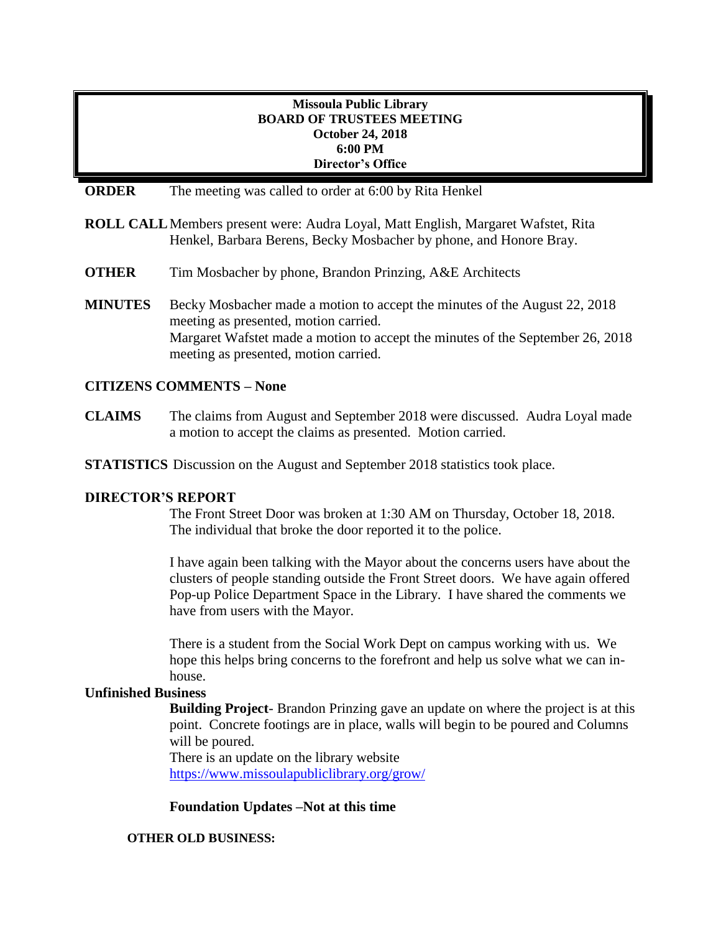## **Missoula Public Library BOARD OF TRUSTEES MEETING October 24, 2018 6:00 PM Director's Office**

## **ORDER** The meeting was called to order at 6:00 by Rita Henkel

- **ROLL CALL**Members present were: Audra Loyal, Matt English, Margaret Wafstet, Rita Henkel, Barbara Berens, Becky Mosbacher by phone, and Honore Bray.
- **OTHER** Tim Mosbacher by phone, Brandon Prinzing, A&E Architects
- **MINUTES** Becky Mosbacher made a motion to accept the minutes of the August 22, 2018 meeting as presented, motion carried. Margaret Wafstet made a motion to accept the minutes of the September 26, 2018 meeting as presented, motion carried.

## **CITIZENS COMMENTS – None**

- **CLAIMS** The claims from August and September 2018 were discussed. Audra Loyal made a motion to accept the claims as presented. Motion carried.
- **STATISTICS** Discussion on the August and September 2018 statistics took place.

#### **DIRECTOR'S REPORT**

The Front Street Door was broken at 1:30 AM on Thursday, October 18, 2018. The individual that broke the door reported it to the police.

I have again been talking with the Mayor about the concerns users have about the clusters of people standing outside the Front Street doors. We have again offered Pop-up Police Department Space in the Library. I have shared the comments we have from users with the Mayor.

There is a student from the Social Work Dept on campus working with us. We hope this helps bring concerns to the forefront and help us solve what we can inhouse.

#### **Unfinished Business**

**Building Project**- Brandon Prinzing gave an update on where the project is at this point. Concrete footings are in place, walls will begin to be poured and Columns will be poured.

There is an update on the library website <https://www.missoulapubliclibrary.org/grow/>

**Foundation Updates –Not at this time**

#### **OTHER OLD BUSINESS:**